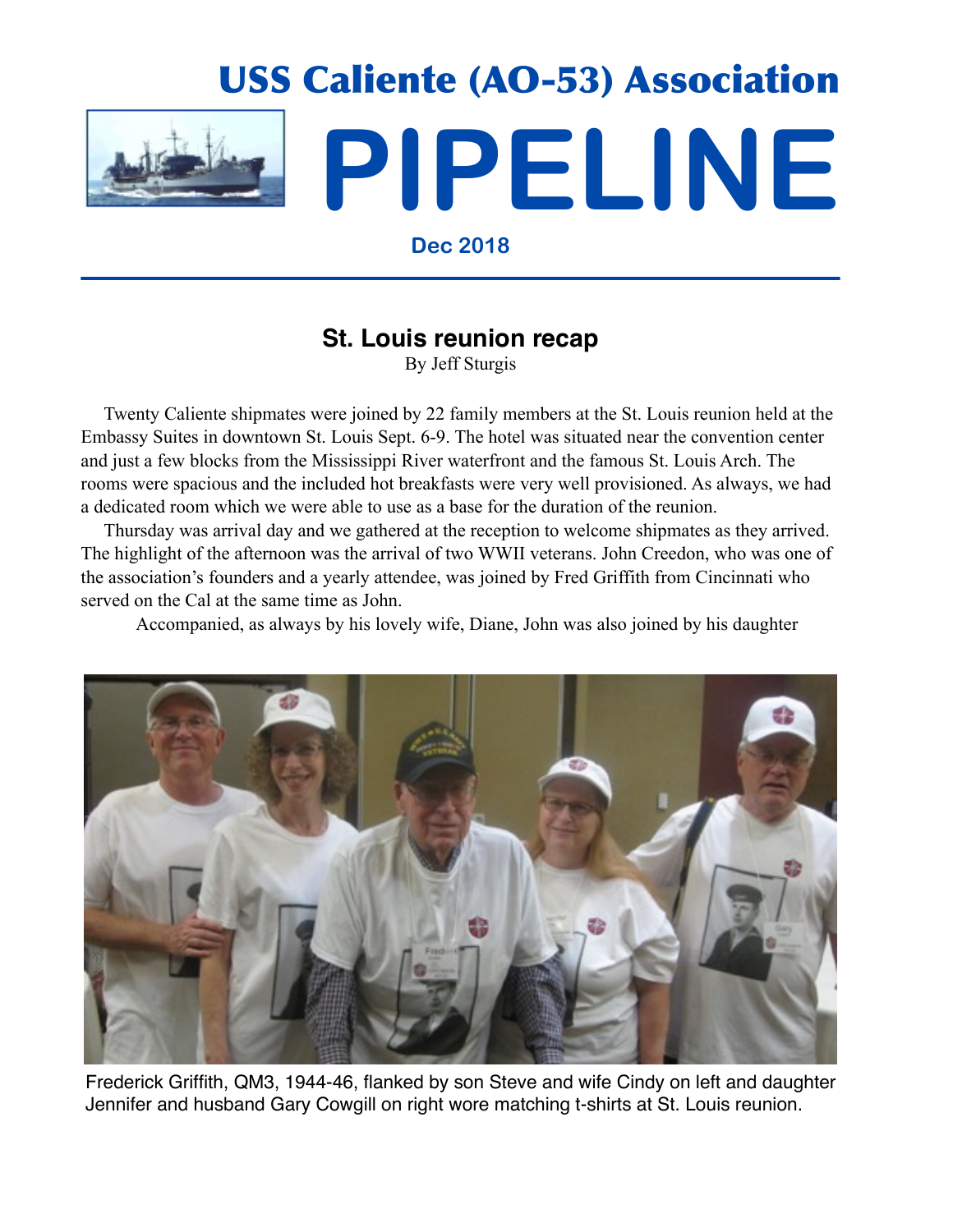

**Dec 2018**

## **St. Louis reunion recap**

By Jeff Sturgis

 Twenty Caliente shipmates were joined by 22 family members at the St. Louis reunion held at the Embassy Suites in downtown St. Louis Sept. 6-9. The hotel was situated near the convention center and just a few blocks from the Mississippi River waterfront and the famous St. Louis Arch. The rooms were spacious and the included hot breakfasts were very well provisioned. As always, we had a dedicated room which we were able to use as a base for the duration of the reunion.

 Thursday was arrival day and we gathered at the reception to welcome shipmates as they arrived. The highlight of the afternoon was the arrival of two WWII veterans. John Creedon, who was one of the association's founders and a yearly attendee, was joined by Fred Griffith from Cincinnati who served on the Cal at the same time as John.

Accompanied, as always by his lovely wife, Diane, John was also joined by his daughter



Frederick Griffith, QM3, 1944-46, flanked by son Steve and wife Cindy on left and daughter Jennifer and husband Gary Cowgill on right wore matching t-shirts at St. Louis reunion.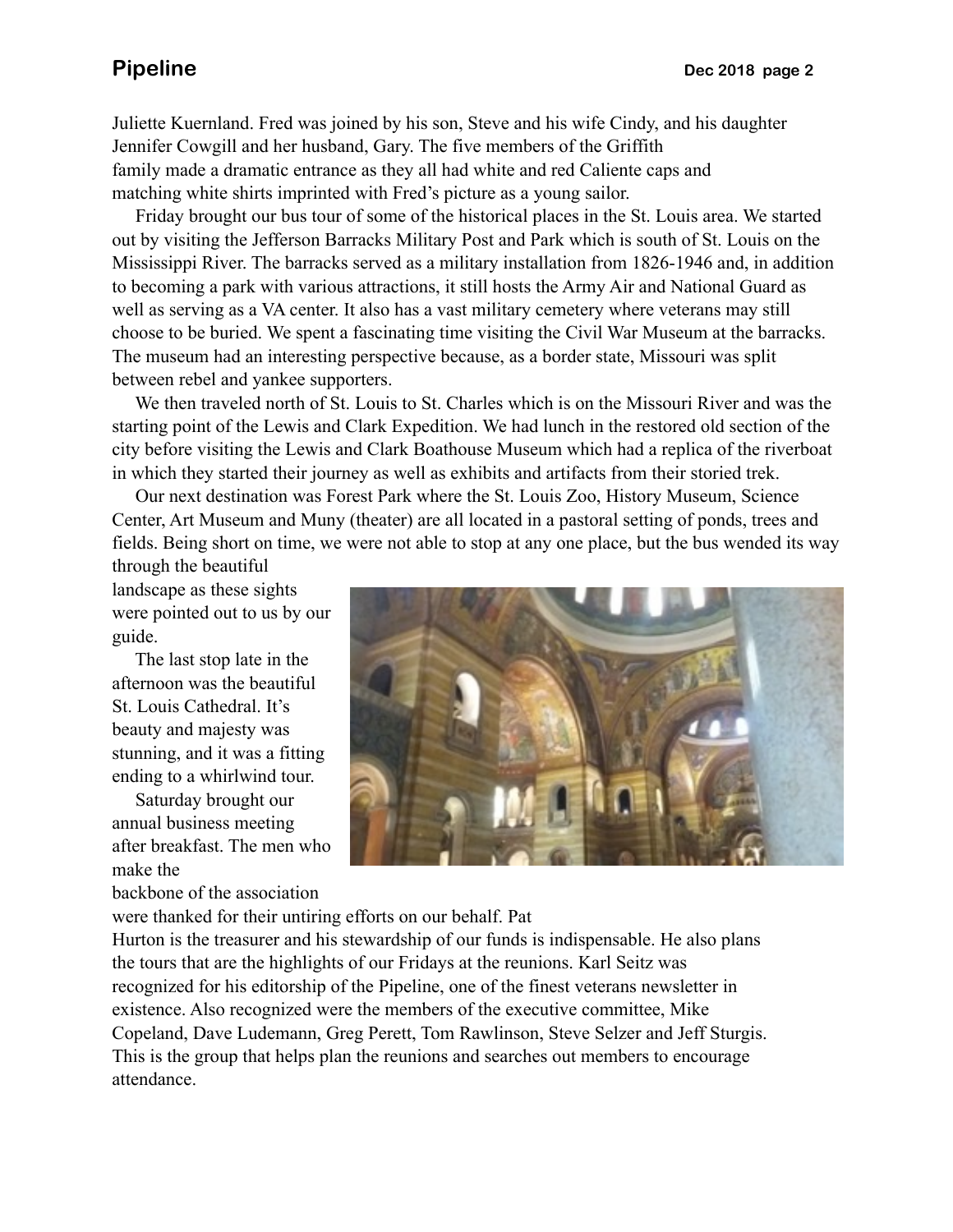Juliette Kuernland. Fred was joined by his son, Steve and his wife Cindy, and his daughter Jennifer Cowgill and her husband, Gary. The five members of the Griffith family made a dramatic entrance as they all had white and red Caliente caps and matching white shirts imprinted with Fred's picture as a young sailor.

 Friday brought our bus tour of some of the historical places in the St. Louis area. We started out by visiting the Jefferson Barracks Military Post and Park which is south of St. Louis on the Mississippi River. The barracks served as a military installation from 1826-1946 and, in addition to becoming a park with various attractions, it still hosts the Army Air and National Guard as well as serving as a VA center. It also has a vast military cemetery where veterans may still choose to be buried. We spent a fascinating time visiting the Civil War Museum at the barracks. The museum had an interesting perspective because, as a border state, Missouri was split between rebel and yankee supporters.

 We then traveled north of St. Louis to St. Charles which is on the Missouri River and was the starting point of the Lewis and Clark Expedition. We had lunch in the restored old section of the city before visiting the Lewis and Clark Boathouse Museum which had a replica of the riverboat in which they started their journey as well as exhibits and artifacts from their storied trek.

 Our next destination was Forest Park where the St. Louis Zoo, History Museum, Science Center, Art Museum and Muny (theater) are all located in a pastoral setting of ponds, trees and fields. Being short on time, we were not able to stop at any one place, but the bus wended its way

through the beautiful landscape as these sights were pointed out to us by our guide.

 The last stop late in the afternoon was the beautiful St. Louis Cathedral. It's beauty and majesty was stunning, and it was a fitting ending to a whirlwind tour.

 Saturday brought our annual business meeting after breakfast. The men who make the

backbone of the association



were thanked for their untiring efforts on our behalf. Pat

Hurton is the treasurer and his stewardship of our funds is indispensable. He also plans the tours that are the highlights of our Fridays at the reunions. Karl Seitz was recognized for his editorship of the Pipeline, one of the finest veterans newsletter in existence. Also recognized were the members of the executive committee, Mike Copeland, Dave Ludemann, Greg Perett, Tom Rawlinson, Steve Selzer and Jeff Sturgis. This is the group that helps plan the reunions and searches out members to encourage attendance.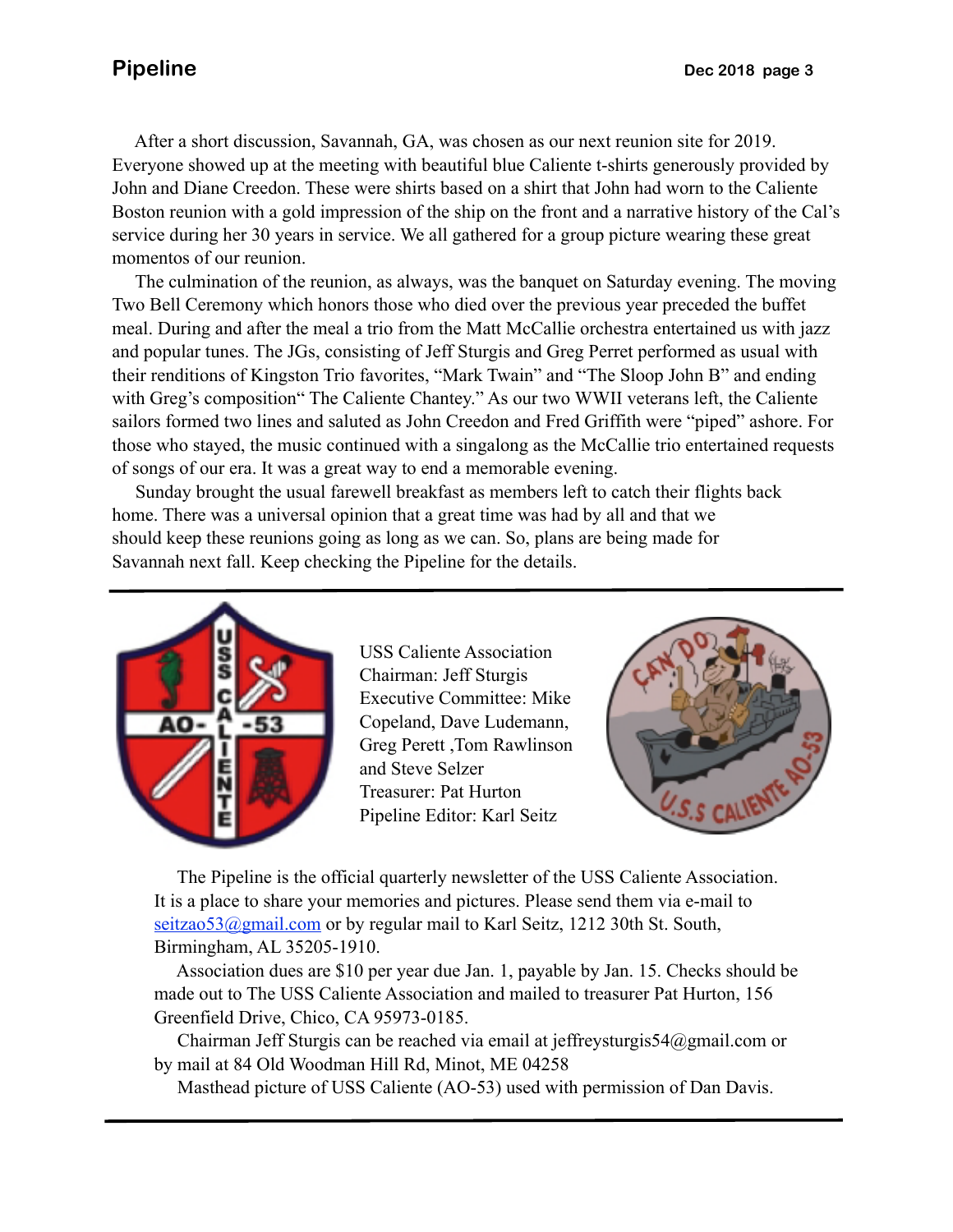After a short discussion, Savannah, GA, was chosen as our next reunion site for 2019. Everyone showed up at the meeting with beautiful blue Caliente t-shirts generously provided by John and Diane Creedon. These were shirts based on a shirt that John had worn to the Caliente Boston reunion with a gold impression of the ship on the front and a narrative history of the Cal's service during her 30 years in service. We all gathered for a group picture wearing these great momentos of our reunion.

 The culmination of the reunion, as always, was the banquet on Saturday evening. The moving Two Bell Ceremony which honors those who died over the previous year preceded the buffet meal. During and after the meal a trio from the Matt McCallie orchestra entertained us with jazz and popular tunes. The JGs, consisting of Jeff Sturgis and Greg Perret performed as usual with their renditions of Kingston Trio favorites, "Mark Twain" and "The Sloop John B" and ending with Greg's composition "The Caliente Chantey." As our two WWII veterans left, the Caliente sailors formed two lines and saluted as John Creedon and Fred Griffith were "piped" ashore. For those who stayed, the music continued with a singalong as the McCallie trio entertained requests of songs of our era. It was a great way to end a memorable evening.

 Sunday brought the usual farewell breakfast as members left to catch their flights back home. There was a universal opinion that a great time was had by all and that we should keep these reunions going as long as we can. So, plans are being made for Savannah next fall. Keep checking the Pipeline for the details.



USS Caliente Association Chairman: Jeff Sturgis Executive Committee: Mike Copeland, Dave Ludemann, Greg Perett ,Tom Rawlinson and Steve Selzer Treasurer: Pat Hurton Pipeline Editor: Karl Seitz



 The Pipeline is the official quarterly newsletter of the USS Caliente Association. It is a place to share your memories and pictures. Please send them via e-mail to seitzao53@gmail.com or by regular mail to Karl Seitz, 1212 30th St. South, Birmingham, AL 35205-1910.

 Association dues are \$10 per year due Jan. 1, payable by Jan. 15. Checks should be made out to The USS Caliente Association and mailed to treasurer Pat Hurton, 156 Greenfield Drive, Chico, CA 95973-0185.

 Chairman Jeff Sturgis can be reached via email at jeffreysturgis54@gmail.com or by mail at 84 Old Woodman Hill Rd, Minot, ME 04258

Masthead picture of USS Caliente (AO-53) used with permission of Dan Davis.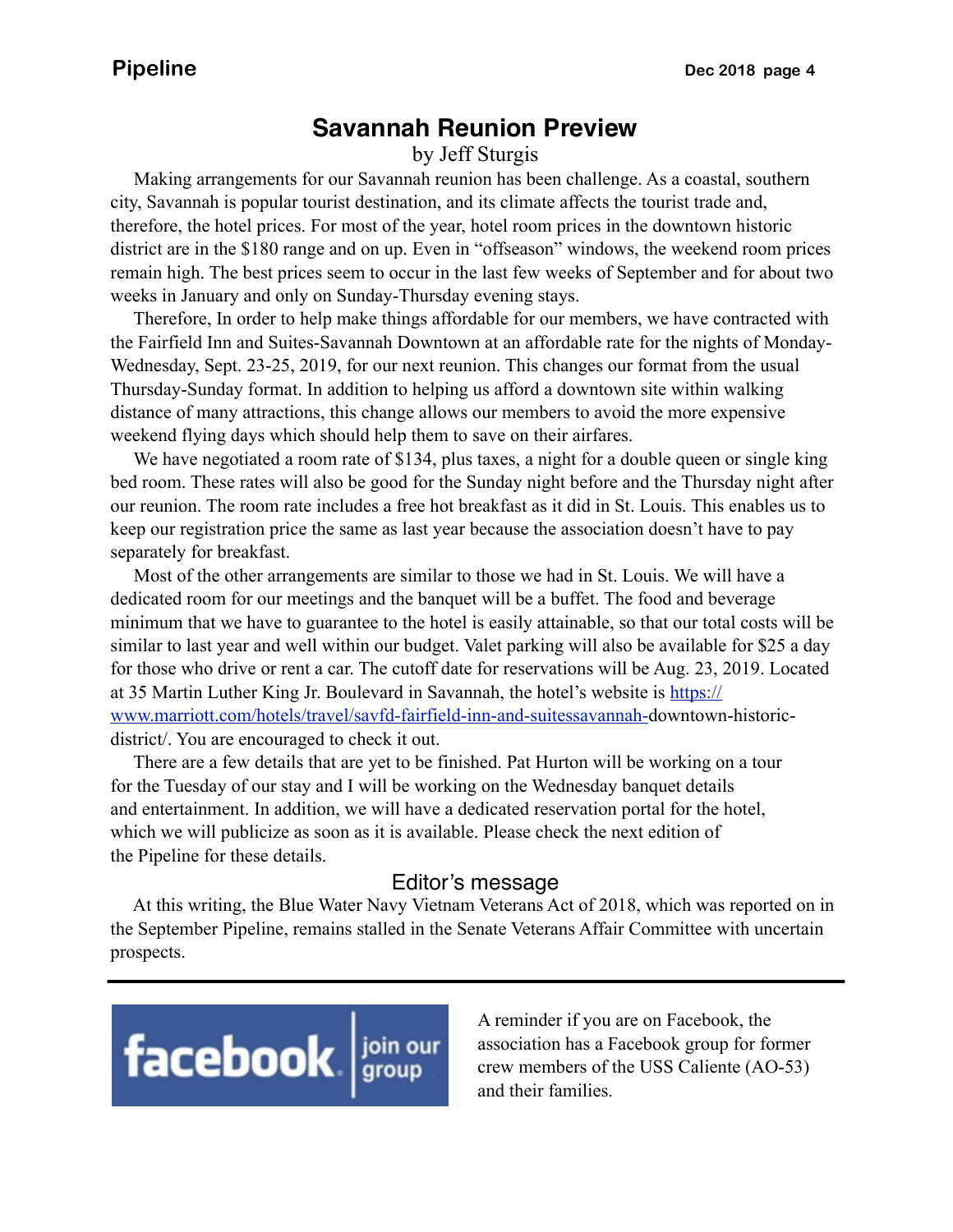### **Savannah Reunion Preview**

by Jeff Sturgis

 Making arrangements for our Savannah reunion has been challenge. As a coastal, southern city, Savannah is popular tourist destination, and its climate affects the tourist trade and, therefore, the hotel prices. For most of the year, hotel room prices in the downtown historic district are in the \$180 range and on up. Even in "offseason" windows, the weekend room prices remain high. The best prices seem to occur in the last few weeks of September and for about two weeks in January and only on Sunday-Thursday evening stays.

 Therefore, In order to help make things affordable for our members, we have contracted with the Fairfield Inn and Suites-Savannah Downtown at an affordable rate for the nights of Monday-Wednesday, Sept. 23-25, 2019, for our next reunion. This changes our format from the usual Thursday-Sunday format. In addition to helping us afford a downtown site within walking distance of many attractions, this change allows our members to avoid the more expensive weekend flying days which should help them to save on their airfares.

We have negotiated a room rate of \$134, plus taxes, a night for a double queen or single king bed room. These rates will also be good for the Sunday night before and the Thursday night after our reunion. The room rate includes a free hot breakfast as it did in St. Louis. This enables us to keep our registration price the same as last year because the association doesn't have to pay separately for breakfast.

 Most of the other arrangements are similar to those we had in St. Louis. We will have a dedicated room for our meetings and the banquet will be a buffet. The food and beverage minimum that we have to guarantee to the hotel is easily attainable, so that our total costs will be similar to last year and well within our budget. Valet parking will also be available for \$25 a day for those who drive or rent a car. The cutoff date for reservations will be Aug. 23, 2019. Located at 35 Martin Luther King Jr. Boulevard in Savannah, the hotel's website is [https://](https://www.marriott.com/hotels/travel/savfd-fairfield-inn-and-suitessavannah-) [www.marriott.com/hotels/travel/savfd-fairfield-inn-and-suitessavannah-d](https://www.marriott.com/hotels/travel/savfd-fairfield-inn-and-suitessavannah-)owntown-historicdistrict/. You are encouraged to check it out.

 There are a few details that are yet to be finished. Pat Hurton will be working on a tour for the Tuesday of our stay and I will be working on the Wednesday banquet details and entertainment. In addition, we will have a dedicated reservation portal for the hotel, which we will publicize as soon as it is available. Please check the next edition of the Pipeline for these details.

### Editor's message

 At this writing, the Blue Water Navy Vietnam Veterans Act of 2018, which was reported on in the September Pipeline, remains stalled in the Senate Veterans Affair Committee with uncertain prospects.

# facebook signal point

A reminder if you are on Facebook, the association has a Facebook group for former crew members of the USS Caliente (AO-53) and their families.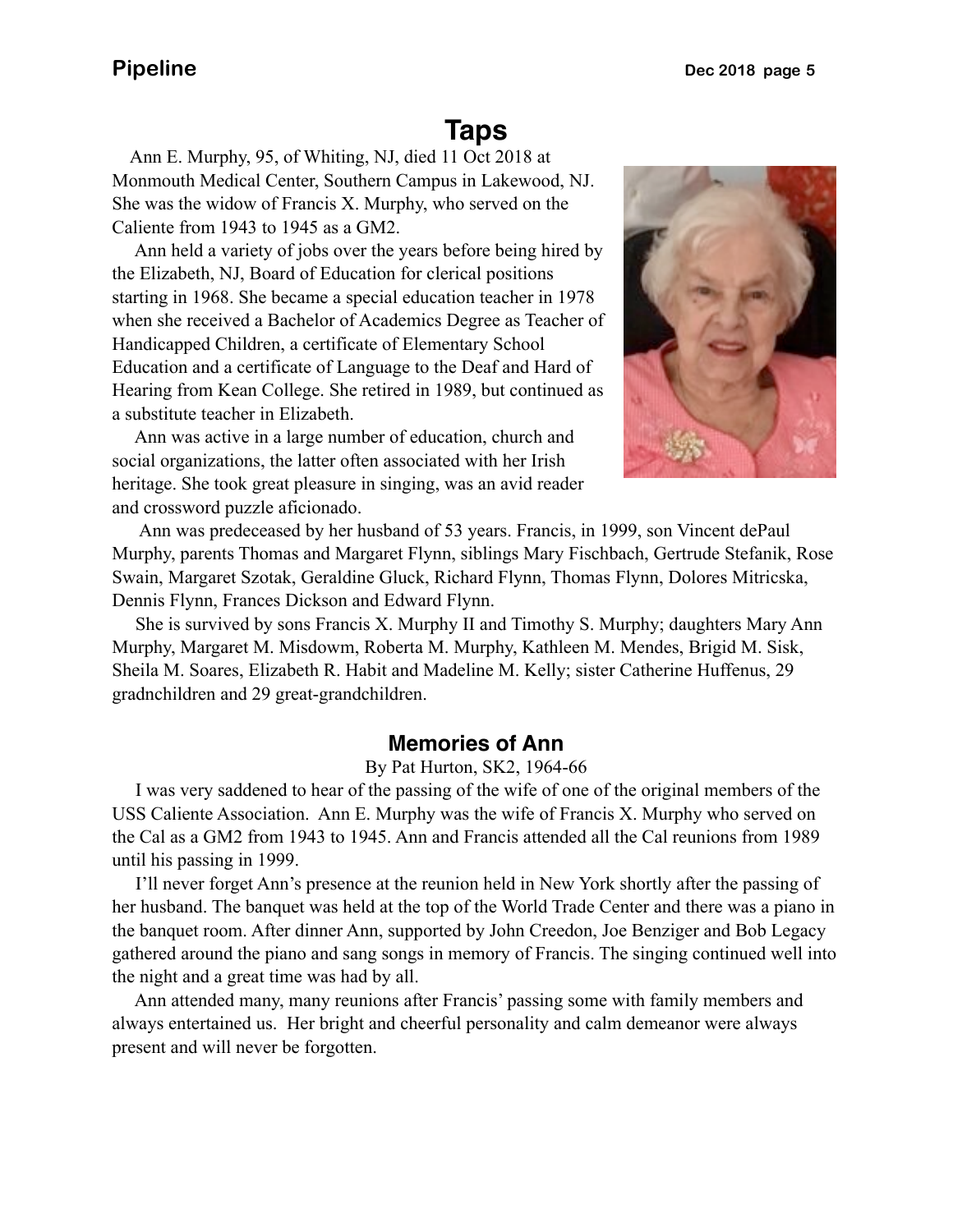### **Taps**

 Ann E. Murphy, 95, of Whiting, NJ, died 11 Oct 2018 at Monmouth Medical Center, Southern Campus in Lakewood, NJ. She was the widow of Francis X. Murphy, who served on the Caliente from 1943 to 1945 as a GM2.

 Ann held a variety of jobs over the years before being hired by the Elizabeth, NJ, Board of Education for clerical positions starting in 1968. She became a special education teacher in 1978 when she received a Bachelor of Academics Degree as Teacher of Handicapped Children, a certificate of Elementary School Education and a certificate of Language to the Deaf and Hard of Hearing from Kean College. She retired in 1989, but continued as a substitute teacher in Elizabeth.

 Ann was active in a large number of education, church and social organizations, the latter often associated with her Irish heritage. She took great pleasure in singing, was an avid reader and crossword puzzle aficionado.



 Ann was predeceased by her husband of 53 years. Francis, in 1999, son Vincent dePaul Murphy, parents Thomas and Margaret Flynn, siblings Mary Fischbach, Gertrude Stefanik, Rose Swain, Margaret Szotak, Geraldine Gluck, Richard Flynn, Thomas Flynn, Dolores Mitricska, Dennis Flynn, Frances Dickson and Edward Flynn.

 She is survived by sons Francis X. Murphy II and Timothy S. Murphy; daughters Mary Ann Murphy, Margaret M. Misdowm, Roberta M. Murphy, Kathleen M. Mendes, Brigid M. Sisk, Sheila M. Soares, Elizabeth R. Habit and Madeline M. Kelly; sister Catherine Huffenus, 29 gradnchildren and 29 great-grandchildren.

### **Memories of Ann**

By Pat Hurton, SK2, 1964-66

 I was very saddened to hear of the passing of the wife of one of the original members of the USS Caliente Association. Ann E. Murphy was the wife of Francis X. Murphy who served on the Cal as a GM2 from 1943 to 1945. Ann and Francis attended all the Cal reunions from 1989 until his passing in 1999.

 I'll never forget Ann's presence at the reunion held in New York shortly after the passing of her husband. The banquet was held at the top of the World Trade Center and there was a piano in the banquet room. After dinner Ann, supported by John Creedon, Joe Benziger and Bob Legacy gathered around the piano and sang songs in memory of Francis. The singing continued well into the night and a great time was had by all.

 Ann attended many, many reunions after Francis' passing some with family members and always entertained us. Her bright and cheerful personality and calm demeanor were always present and will never be forgotten.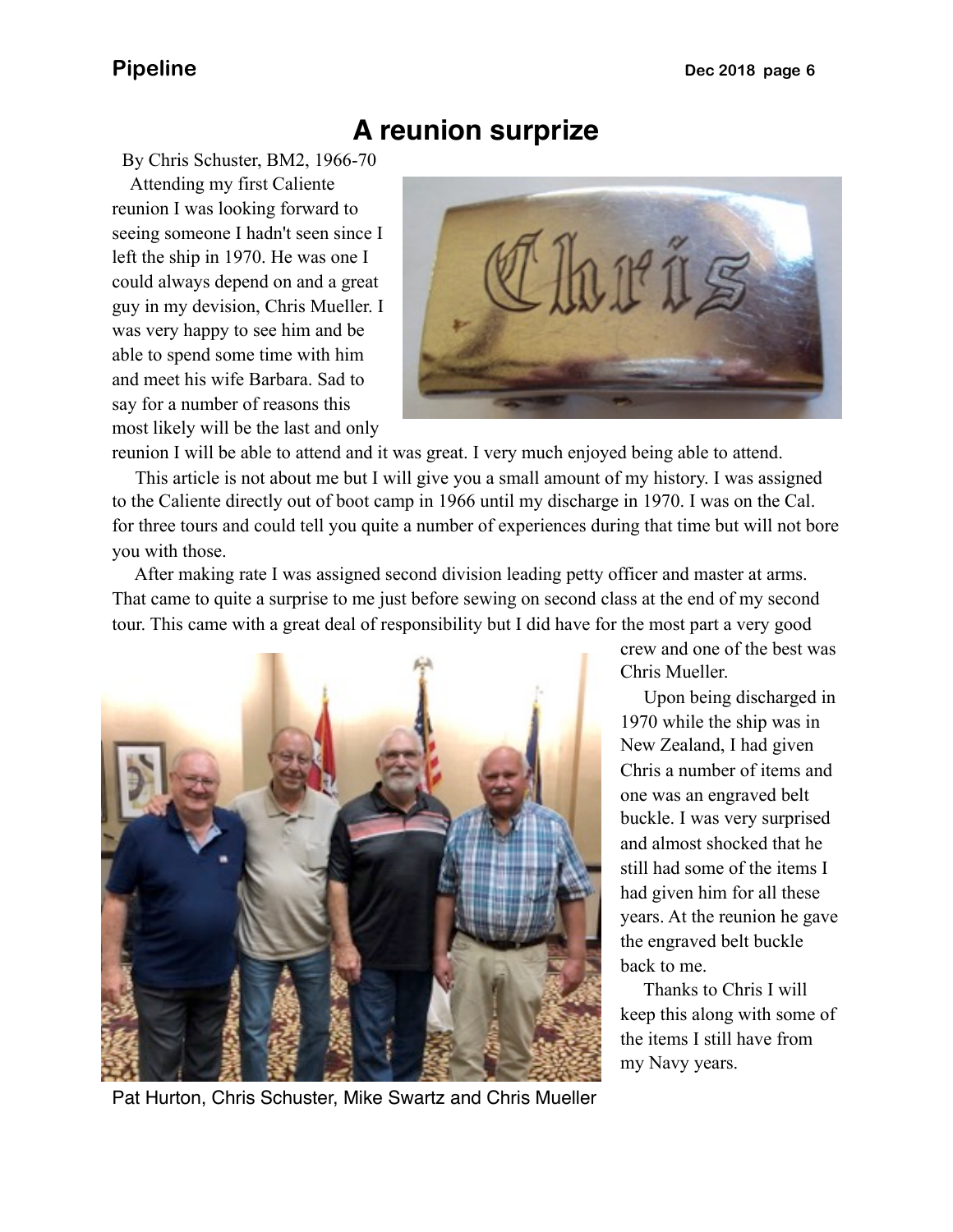### **A reunion surprize**

By Chris Schuster, BM2, 1966-70 Attending my first Caliente reunion I was looking forward to seeing someone I hadn't seen since I left the ship in 1970. He was one I could always depend on and a great guy in my devision, Chris Mueller. I was very happy to see him and be able to spend some time with him and meet his wife Barbara. Sad to say for a number of reasons this most likely will be the last and only



reunion I will be able to attend and it was great. I very much enjoyed being able to attend.

 This article is not about me but I will give you a small amount of my history. I was assigned to the Caliente directly out of boot camp in 1966 until my discharge in 1970. I was on the Cal. for three tours and could tell you quite a number of experiences during that time but will not bore you with those.

 After making rate I was assigned second division leading petty officer and master at arms. That came to quite a surprise to me just before sewing on second class at the end of my second tour. This came with a great deal of responsibility but I did have for the most part a very good



crew and one of the best was Chris Mueller.

 Upon being discharged in 1970 while the ship was in New Zealand, I had given Chris a number of items and one was an engraved belt buckle. I was very surprised and almost shocked that he still had some of the items I had given him for all these years. At the reunion he gave the engraved belt buckle back to me.

 Thanks to Chris I will keep this along with some of the items I still have from my Navy years.

Pat Hurton, Chris Schuster, Mike Swartz and Chris Mueller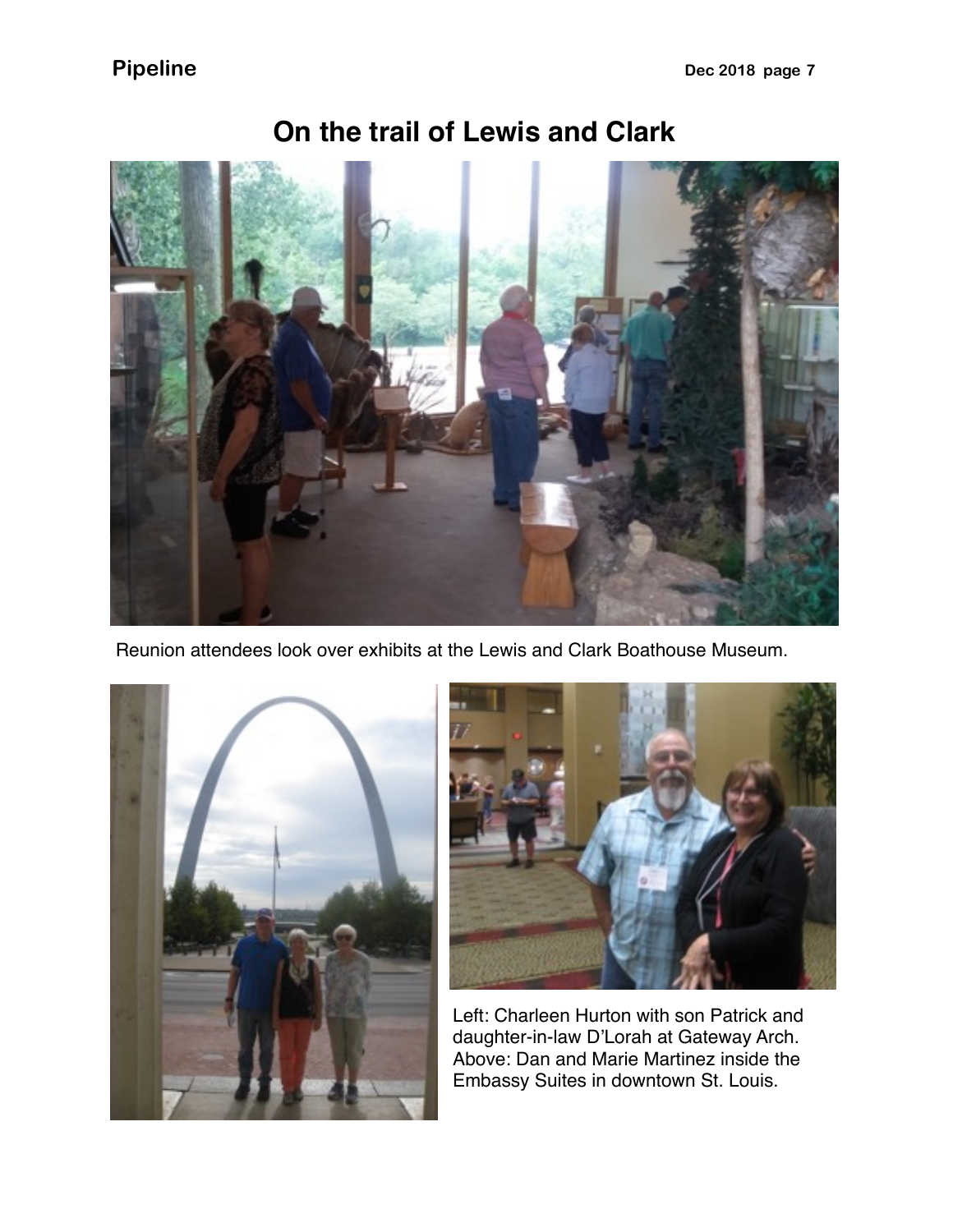

**On the trail of Lewis and Clark**

Reunion attendees look over exhibits at the Lewis and Clark Boathouse Museum.





Left: Charleen Hurton with son Patrick and daughter-in-law D'Lorah at Gateway Arch. Above: Dan and Marie Martinez inside the Embassy Suites in downtown St. Louis.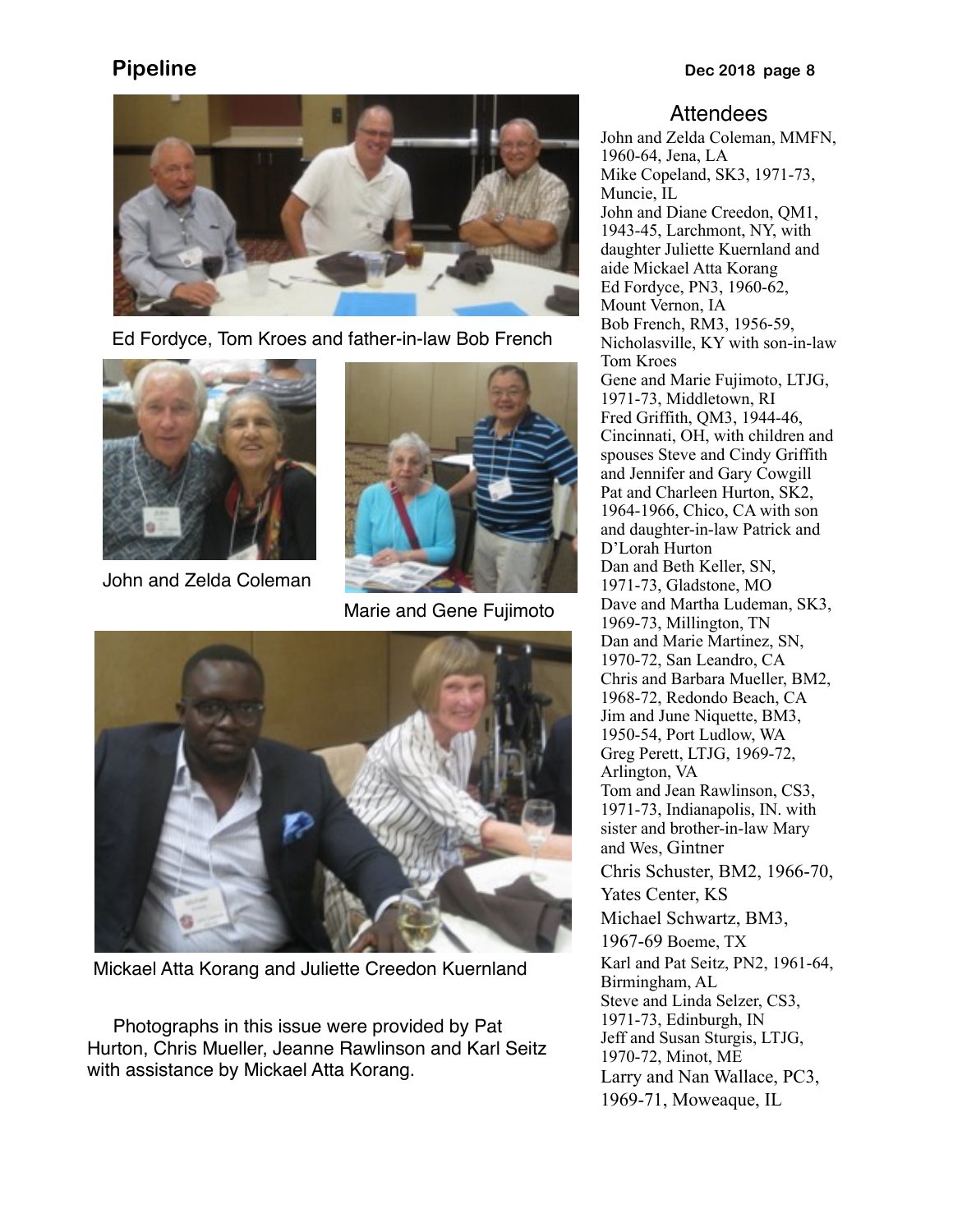

Ed Fordyce, Tom Kroes and father-in-law Bob French



John and Zelda Coleman



Marie and Gene Fujimoto



Mickael Atta Korang and Juliette Creedon Kuernland

 Photographs in this issue were provided by Pat Hurton, Chris Mueller, Jeanne Rawlinson and Karl Seitz with assistance by Mickael Atta Korang.

### **Attendees**

John and Zelda Coleman, MMFN, 1960-64, Jena, LA Mike Copeland, SK3, 1971-73, Muncie, IL John and Diane Creedon, QM1, 1943-45, Larchmont, NY, with daughter Juliette Kuernland and aide Mickael Atta Korang Ed Fordyce, PN3, 1960-62, Mount Vernon, IA Bob French, RM3, 1956-59, Nicholasville, KY with son-in-law Tom Kroes Gene and Marie Fujimoto, LTJG, 1971-73, Middletown, RI Fred Griffith, QM3, 1944-46, Cincinnati, OH, with children and spouses Steve and Cindy Griffith and Jennifer and Gary Cowgill Pat and Charleen Hurton, SK2, 1964-1966, Chico, CA with son and daughter-in-law Patrick and D'Lorah Hurton Dan and Beth Keller, SN, 1971-73, Gladstone, MO Dave and Martha Ludeman, SK3, 1969-73, Millington, TN Dan and Marie Martinez, SN, 1970-72, San Leandro, CA Chris and Barbara Mueller, BM2, 1968-72, Redondo Beach, CA Jim and June Niquette, BM3, 1950-54, Port Ludlow, WA Greg Perett, LTJG, 1969-72, Arlington, VA Tom and Jean Rawlinson, CS3, 1971-73, Indianapolis, IN. with sister and brother-in-law Mary and Wes, Gintner Chris Schuster, BM2, 1966-70, Yates Center, KS Michael Schwartz, BM3, 1967-69 Boeme, TX Karl and Pat Seitz, PN2, 1961-64, Birmingham, AL Steve and Linda Selzer, CS3, 1971-73, Edinburgh, IN Jeff and Susan Sturgis, LTJG, 1970-72, Minot, ME Larry and Nan Wallace, PC3, 1969-71, Moweaque, IL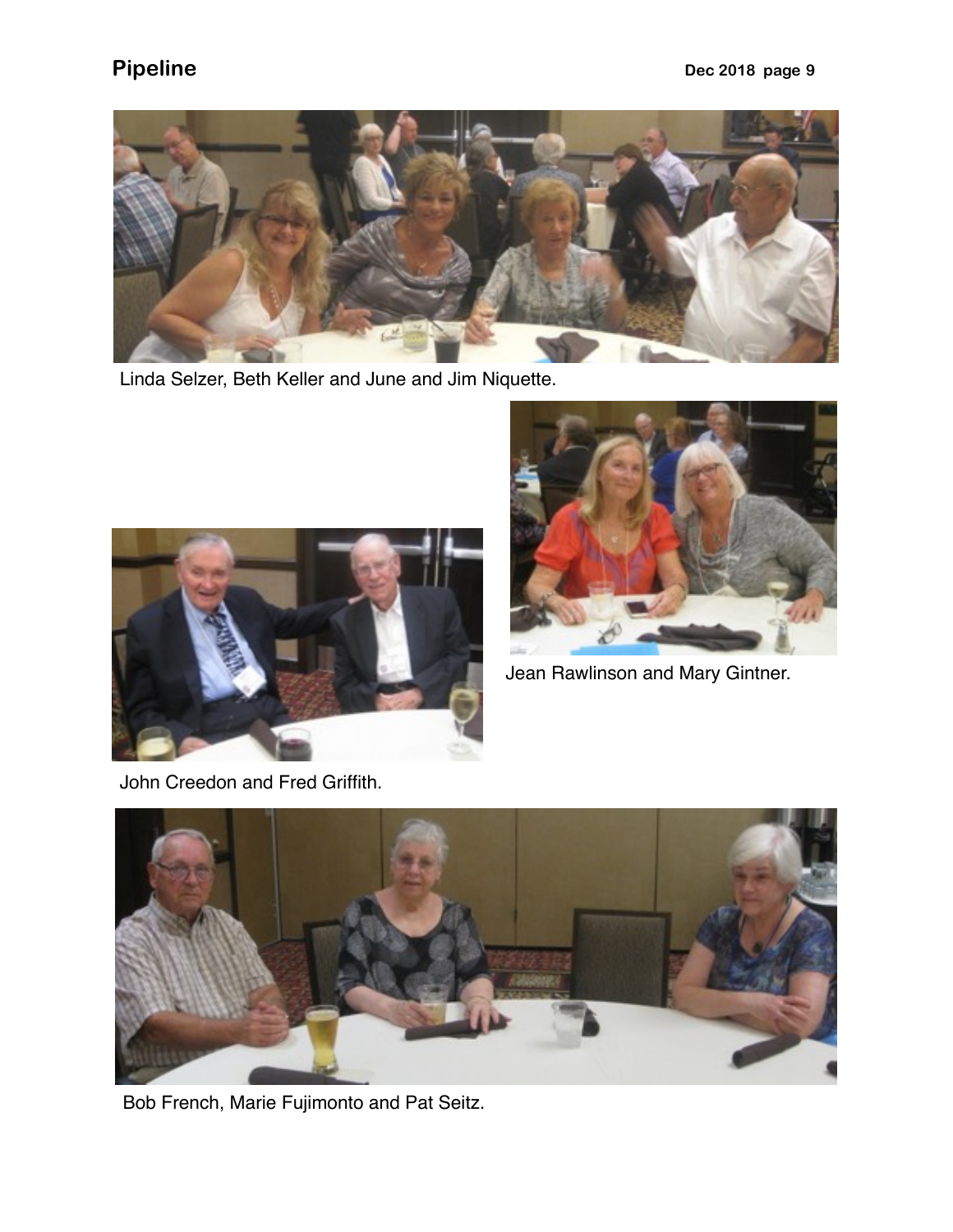

Linda Selzer, Beth Keller and June and Jim Niquette.





Jean Rawlinson and Mary Gintner.

John Creedon and Fred Griffith.



Bob French, Marie Fujimonto and Pat Seitz.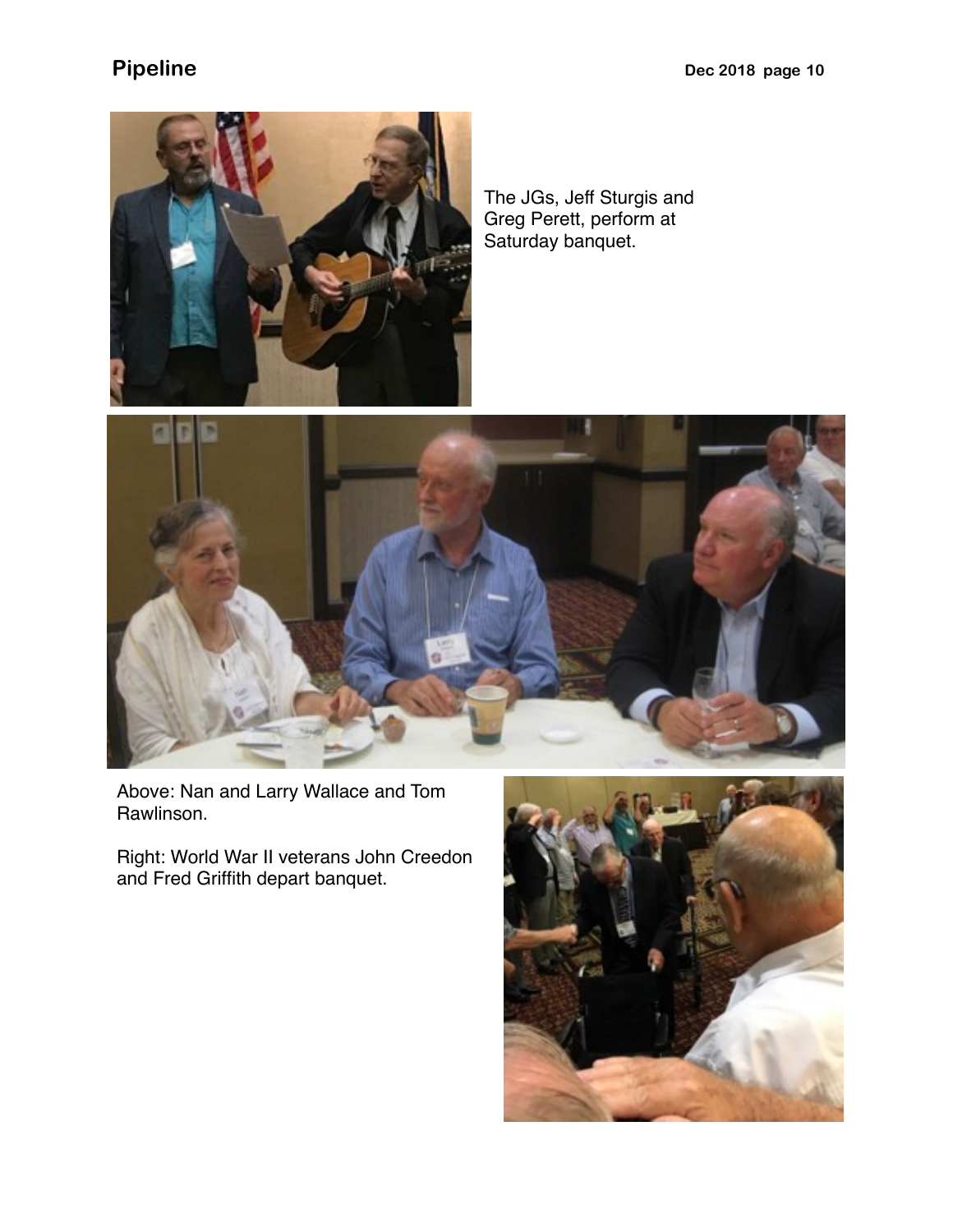

The JGs, Jeff Sturgis and Greg Perett, perform at Saturday banquet.



Above: Nan and Larry Wallace and Tom Rawlinson.

Right: World War II veterans John Creedon and Fred Griffith depart banquet.

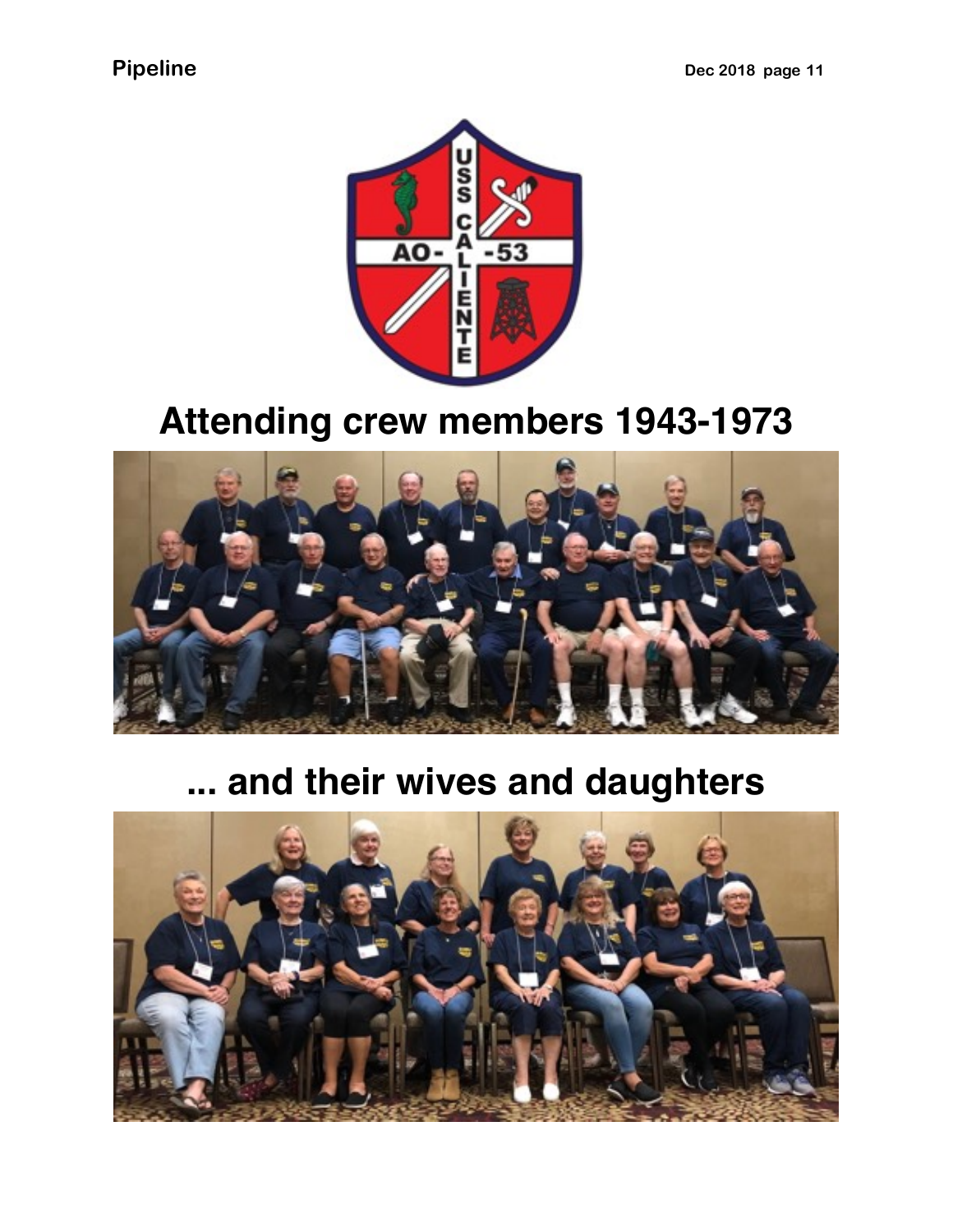

# **Attending crew members 1943-1973**



# **... and their wives and daughters**